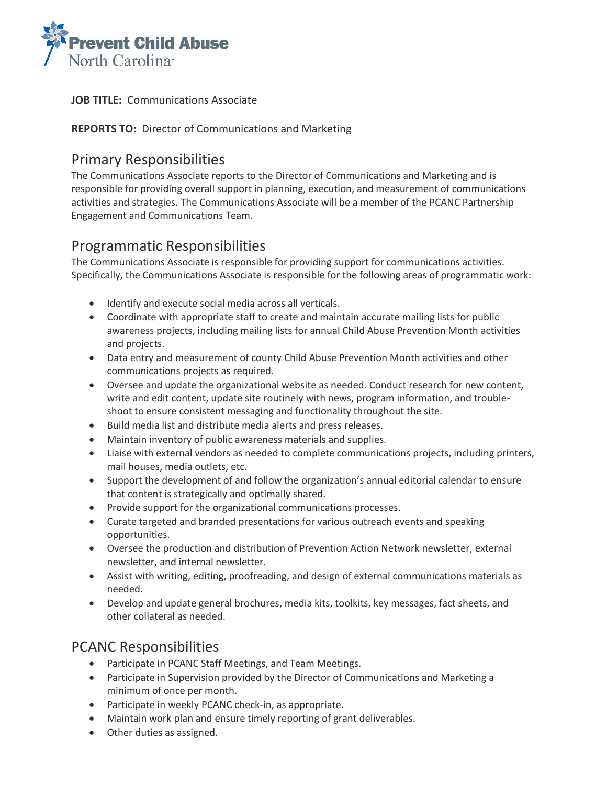

#### **JOB TITLE:** Communications Associate

#### **REPORTS TO:** Director of Communications and Marketing

### Primary Responsibilities

The Communications Associate reports to the Director of Communications and Marketing and is responsible for providing overall support in planning, execution, and measurement of communications activities and strategies. The Communications Associate will be a member of the PCANC Partnership Engagement and Communications Team.

## Programmatic Responsibilities

The Communications Associate is responsible for providing support for communications activities. Specifically, the Communications Associate is responsible for the following areas of programmatic work:

- Identify and execute social media across all verticals.
- Coordinate with appropriate staff to create and maintain accurate mailing lists for public awareness projects, including mailing lists for annual Child Abuse Prevention Month activities and projects.
- Data entry and measurement of county Child Abuse Prevention Month activities and other communications projects as required.
- Oversee and update the organizational website as needed. Conduct research for new content, write and edit content, update site routinely with news, program information, and troubleshoot to ensure consistent messaging and functionality throughout the site.
- Build media list and distribute media alerts and press releases.
- Maintain inventory of public awareness materials and supplies.
- Liaise with external vendors as needed to complete communications projects, including printers, mail houses, media outlets, etc.
- Support the development of and follow the organization's annual editorial calendar to ensure that content is strategically and optimally shared.
- Provide support for the organizational communications processes.
- Curate targeted and branded presentations for various outreach events and speaking opportunities.
- Oversee the production and distribution of Prevention Action Network newsletter, external newsletter, and internal newsletter.
- Assist with writing, editing, proofreading, and design of external communications materials as needed.
- Develop and update general brochures, media kits, toolkits, key messages, fact sheets, and other collateral as needed.

# PCANC Responsibilities

- Participate in PCANC Staff Meetings, and Team Meetings.
- Participate in Supervision provided by the Director of Communications and Marketing a minimum of once per month.
- Participate in weekly PCANC check-in, as appropriate.
- Maintain work plan and ensure timely reporting of grant deliverables.
- Other duties as assigned.